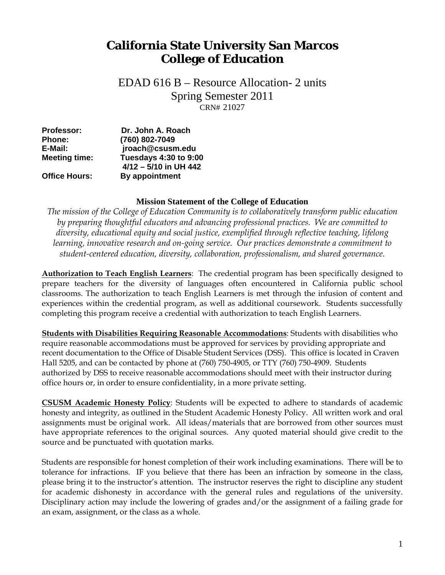## **California State University San Marcos College of Education**

 CRN# 21027 EDAD 616 B – Resource Allocation- 2 units Spring Semester 2011

| Professor:           | Dr. John A. Roach                       |  |
|----------------------|-----------------------------------------|--|
| <b>Phone:</b>        | (760) 802-7049                          |  |
| E-Mail:              | jroach@csusm.edu                        |  |
| <b>Meeting time:</b> | <b>Tuesdays 4:30 to 9:00</b>            |  |
| <b>Office Hours:</b> | 4/12 - 5/10 in UH 442<br>By appointment |  |
|                      |                                         |  |

#### **Mission Statement of the College of Education**

*The mission of the College of Education Community is to collaboratively transform public education by preparing thoughtful educators and advancing professional practices. We are committed to diversity, educational equity and social justice, exemplified through reflective teaching, lifelong learning, innovative research and on-going service. Our practices demonstrate a commitment to student-centered education, diversity, collaboration, professionalism, and shared governance.* 

**Authorization to Teach English Learners**: The credential program has been specifically designed to prepare teachers for the diversity of languages often encountered in California public school classrooms. The authorization to teach English Learners is met through the infusion of content and experiences within the credential program, as well as additional coursework. Students successfully completing this program receive a credential with authorization to teach English Learners.

**Students with Disabilities Requiring Reasonable Accommodations**: Students with disabilities who require reasonable accommodations must be approved for services by providing appropriate and recent documentation to the Office of Disable Student Services (DSS). This office is located in Craven Hall 5205, and can be contacted by phone at (760) 750-4905, or TTY (760) 750-4909. Students authorized by DSS to receive reasonable accommodations should meet with their instructor during office hours or, in order to ensure confidentiality, in a more private setting.

source and be punctuated with quotation marks. **CSUSM Academic Honesty Policy**: Students will be expected to adhere to standards of academic honesty and integrity, as outlined in the Student Academic Honesty Policy. All written work and oral assignments must be original work. All ideas/materials that are borrowed from other sources must have appropriate references to the original sources. Any quoted material should give credit to the

Students are responsible for honest completion of their work including examinations. There will be to tolerance for infractions. IF you believe that there has been an infraction by someone in the class, please bring it to the instructor's attention. The instructor reserves the right to discipline any student for academic dishonesty in accordance with the general rules and regulations of the university. Disciplinary action may include the lowering of grades and/or the assignment of a failing grade for an exam, assignment, or the class as a whole.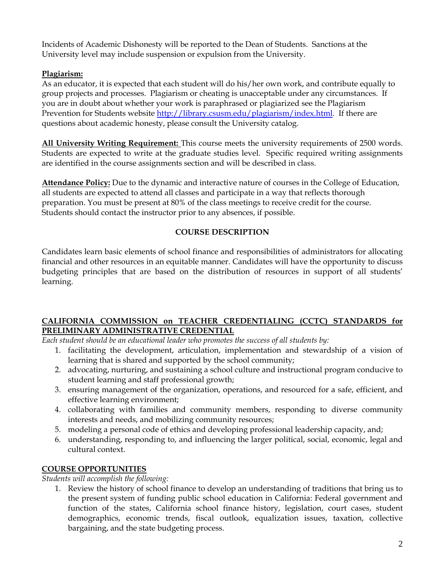Incidents of Academic Dishonesty will be reported to the Dean of Students. Sanctions at the University level may include suspension or expulsion from the University.

### **Plagiarism:**

As an educator, it is expected that each student will do his/her own work, and contribute equally to group projects and processes. Plagiarism or cheating is unacceptable under any circumstances. If you are in doubt about whether your work is paraphrased or plagiarized see the Plagiarism Prevention for Students website http://library.csusm.edu/plagiarism/index.html. If there are questions about academic honesty, please consult the University catalog.

**All University Writing Requirement:** This course meets the university requirements of 2500 words. Students are expected to write at the graduate studies level. Specific required writing assignments are identified in the course assignments section and will be described in class.

**Attendance Policy:** Due to the dynamic and interactive nature of courses in the College of Education, all students are expected to attend all classes and participate in a way that reflects thorough preparation. You must be present at 80% of the class meetings to receive credit for the course. Students should contact the instructor prior to any absences, if possible.

#### **COURSE DESCRIPTION**

Candidates learn basic elements of school finance and responsibilities of administrators for allocating financial and other resources in an equitable manner. Candidates will have the opportunity to discuss budgeting principles that are based on the distribution of resources in support of all students' learning.

#### **CALIFORNIA COMMISSION on TEACHER CREDENTIALING (CCTC) STANDARDS for PRELIMINARY ADMINISTRATIVE CREDENTIAL**

*Each student should be an educational leader who promotes the success of all students by:* 

- 1. facilitating the development, articulation, implementation and stewardship of a vision of learning that is shared and supported by the school community;
- 2. advocating, nurturing, and sustaining a school culture and instructional program conducive to student learning and staff professional growth;
- 3. ensuring management of the organization, operations, and resourced for a safe, efficient, and effective learning environment;
- 4. collaborating with families and community members, responding to diverse community interests and needs, and mobilizing community resources;
- 5. modeling a personal code of ethics and developing professional leadership capacity, and;
- 6. understanding, responding to, and influencing the larger political, social, economic, legal and cultural context.

#### **COURSE OPPORTUNITIES**

*Students will accomplish the following:* 

1. Review the history of school finance to develop an understanding of traditions that bring us to the present system of funding public school education in California: Federal government and function of the states, California school finance history, legislation, court cases, student demographics, economic trends, fiscal outlook, equalization issues, taxation, collective bargaining, and the state budgeting process.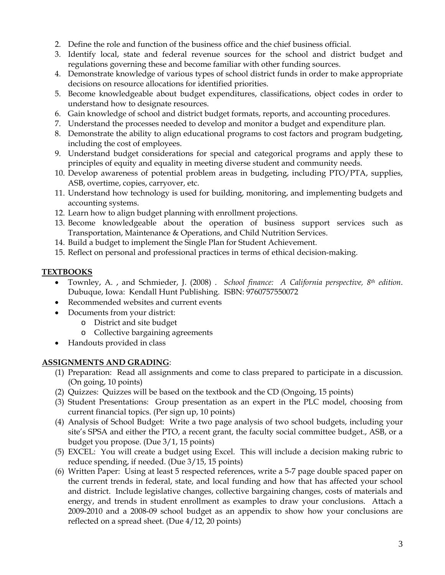- 2. Define the role and function of the business office and the chief business official.
- 3. Identify local, state and federal revenue sources for the school and district budget and regulations governing these and become familiar with other funding sources.
- 4. Demonstrate knowledge of various types of school district funds in order to make appropriate decisions on resource allocations for identified priorities.
- 5. Become knowledgeable about budget expenditures, classifications, object codes in order to understand how to designate resources.
- 6. Gain knowledge of school and district budget formats, reports, and accounting procedures.
- 7. Understand the processes needed to develop and monitor a budget and expenditure plan.
- 8. Demonstrate the ability to align educational programs to cost factors and program budgeting, including the cost of employees.
- 9. Understand budget considerations for special and categorical programs and apply these to principles of equity and equality in meeting diverse student and community needs.
- 10. Develop awareness of potential problem areas in budgeting, including PTO/PTA, supplies, ASB, overtime, copies, carryover, etc.
- 11. Understand how technology is used for building, monitoring, and implementing budgets and accounting systems.
- 12. Learn how to align budget planning with enrollment projections.
- 13. Become knowledgeable about the operation of business support services such as Transportation, Maintenance & Operations, and Child Nutrition Services.
- 14. Build a budget to implement the Single Plan for Student Achievement.
- 15. Reflect on personal and professional practices in terms of ethical decision-making.

#### **TEXTBOOKS**

- Townley, A. , and Schmieder, J. (2008) . *School finance: A California perspective, 8th edition*. Dubuque, Iowa: Kendall Hunt Publishing. ISBN: 9760757550072
- Recommended websites and current events
- Documents from your district:
	- o District and site budget
	- o Collective bargaining agreements
- Handouts provided in class

#### **ASSIGNMENTS AND GRADING**:

- (1) Preparation: Read all assignments and come to class prepared to participate in a discussion. (On going, 10 points)
- (2) Quizzes: Quizzes will be based on the textbook and the CD (Ongoing, 15 points)
- (3) Student Presentations: Group presentation as an expert in the PLC model, choosing from current financial topics. (Per sign up, 10 points)
- (4) Analysis of School Budget: Write a two page analysis of two school budgets, including your site's SPSA and either the PTO, a recent grant, the faculty social committee budget., ASB, or a budget you propose. (Due 3/1, 15 points)
- (5) EXCEL: You will create a budget using Excel. This will include a decision making rubric to reduce spending, if needed. (Due 3/15, 15 points)
- energy, and trends in student enrollment as examples to draw your conclusions. Attach a (6) Written Paper: Using at least 5 respected references, write a 5-7 page double spaced paper on the current trends in federal, state, and local funding and how that has affected your school and district. Include legislative changes, collective bargaining changes, costs of materials and 2009-2010 and a 2008-09 school budget as an appendix to show how your conclusions are reflected on a spread sheet. (Due 4/12, 20 points)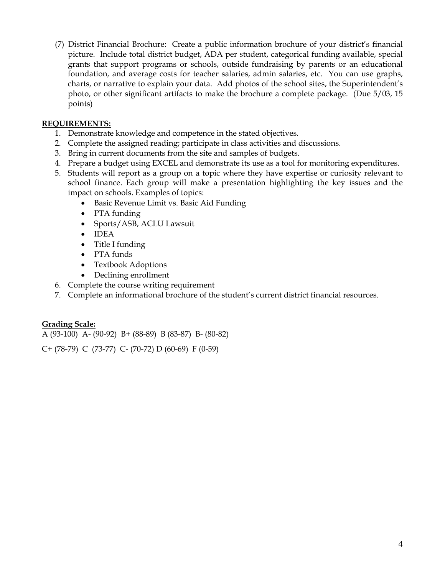(7) District Financial Brochure: Create a public information brochure of your district's financial picture. Include total district budget, ADA per student, categorical funding available, special grants that support programs or schools, outside fundraising by parents or an educational foundation, and average costs for teacher salaries, admin salaries, etc. You can use graphs, charts, or narrative to explain your data. Add photos of the school sites, the Superintendent's photo, or other significant artifacts to make the brochure a complete package. (Due 5/03, 15 points)

#### **REQUIREMENTS:**

- 1. Demonstrate knowledge and competence in the stated objectives.
- 2. Complete the assigned reading; participate in class activities and discussions.
- 3. Bring in current documents from the site and samples of budgets.
- 4. Prepare a budget using EXCEL and demonstrate its use as a tool for monitoring expenditures.
- 5. Students will report as a group on a topic where they have expertise or curiosity relevant to school finance. Each group will make a presentation highlighting the key issues and the impact on schools. Examples of topics:
	- Basic Revenue Limit vs. Basic Aid Funding
	- PTA funding
	- Sports/ASB, ACLU Lawsuit
	- **IDEA**
	- Title I funding
	- PTA funds
	- Textbook Adoptions
	- Declining enrollment
- 6. Complete the course writing requirement
- 7. Complete an informational brochure of the student's current district financial resources.

#### **Grading Scale:**

A (93-100) A- (90-92) B+ (88-89) B (83-87) B- (80-82)

C+ (78-79) C (73-77) C- (70-72) D (60-69) F (0-59)